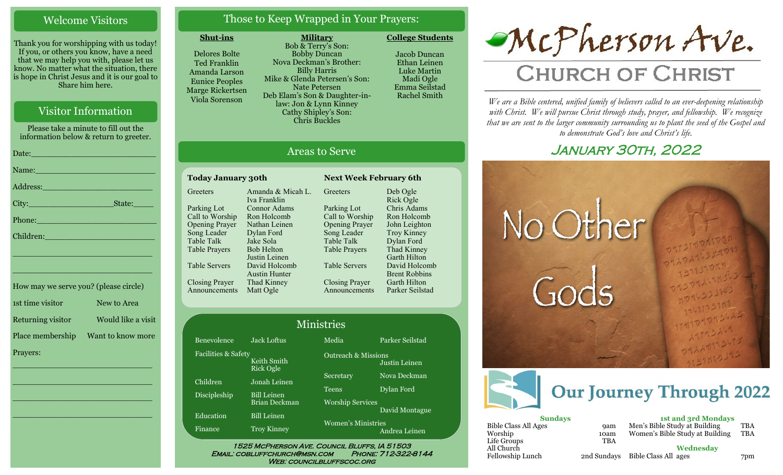#### Welcome Visitors

Thank you for worshipping with us today! If you, or others you know, have a need that we may help you with, please let us know. No matter what the situation, there is hope in Christ Jesus and it is our goal to Share him here.

### Visitor Information

Please take a minute to fill out the information below & return to greeter.

| Date: 2008 - 2008 - 2010 - 2010 - 2010 - 2011 - 2012 - 2012 - 2012 - 2012 - 2012 - 2012 - 2012 - 201                                                                                                                           |
|--------------------------------------------------------------------------------------------------------------------------------------------------------------------------------------------------------------------------------|
| Name: Name and the second contract of the second contract of the second contract of the second contract of the                                                                                                                 |
| Address: 2008 and 2008 and 2008 and 2008 and 2008 and 2008 and 2008 and 2008 and 2008 and 2008 and 2008 and 20                                                                                                                 |
|                                                                                                                                                                                                                                |
| Phone: New York Changes and The Changes of the Changes of the Changes of the Changes of the Changes of the Changes of the Changes of the Changes of the Changes of the Changes of the Changes of the Changes of the Changes of |
| Children: 2008 - 2008 - 2008 - 2019 - 2019 - 2019 - 2019 - 2019 - 2019 - 2019 - 2019 - 2019 - 2019 - 2019 - 20                                                                                                                 |
| the contract of the contract of the contract of the contract of the contract of the contract of the contract of                                                                                                                |

| How may we serve you? (please circle) |                    |
|---------------------------------------|--------------------|
| 1st time visitor                      | New to Area        |
| Returning visitor                     | Would like a visit |
| Place membership                      | Want to know more  |
| Prayers:                              |                    |

\_\_\_\_\_\_\_\_\_\_\_\_\_\_\_\_\_\_\_\_\_\_\_\_\_\_\_\_

 $\overline{\phantom{a}}$  , and the set of the set of the set of the set of the set of the set of the set of the set of the set of the set of the set of the set of the set of the set of the set of the set of the set of the set of the s

 $\overline{\phantom{a}}$  , and the set of the set of the set of the set of the set of the set of the set of the set of the set of the set of the set of the set of the set of the set of the set of the set of the set of the set of the s

\_\_\_\_\_\_\_\_\_\_\_\_\_\_\_\_\_\_\_\_\_\_\_\_\_\_\_\_

\_\_\_\_\_\_\_\_\_\_\_\_\_\_\_\_\_\_\_\_\_\_\_\_\_\_\_\_

## Those to Keep Wrapped in Your Prayers:

**Military**

#### **Shut-ins**

Delores Bolte Ted Franklin Amanda Larson Eunice Peoples Marge Rickertsen Viola Sorenson

Faci

Disc

Edu Fina

Bob & Terry's Son: Bobby Duncan Nova Deckman's Brother: Billy Harris Mike & Glenda Petersen's Son: Nate Petersen Deb Elam's Son & Daughter-inlaw: Jon & Lynn Kinney Cathy Shipley's Son: Chris Buckles

Jacob Duncan Ethan Leinen Luke Martin Madi Ogle

**College Students** 

Emma Seilstad Rachel Smith

Deb Ogle Rick Ogle Chris Adams Ron Holcomb John Leighton Troy Kinney Dylan Ford Thad Kinney Garth Hilton David Holcomb Brent Robbins Garth Hilton Parker Seilstad

## Areas to Serve

| <b>Today January 30th</b>            |                                       | <b>Next Week February 6th</b>        |                                  |
|--------------------------------------|---------------------------------------|--------------------------------------|----------------------------------|
| Greeters                             | Amanda & Micah L.<br>Iva Franklin     | Greeters                             | Deb Ogle<br>Rick Ogle            |
| Parking Lot                          | Connor Adams                          | Parking Lot                          | Chris Adam                       |
| Call to Worship                      | Ron Holcomb<br>Nathan Leinen          | Call to Worship                      | Ron Holcor                       |
| <b>Opening Prayer</b><br>Song Leader | Dylan Ford                            | <b>Opening Prayer</b><br>Song Leader | John Leight<br><b>Troy Kinne</b> |
| Table Talk                           | Jake Sola                             | Table Talk                           | Dylan Ford                       |
| <b>Table Prayers</b>                 | <b>Bob Helton</b><br>Justin Leinen    | <b>Table Prayers</b>                 | Thad Kinne<br>Garth Hilto        |
| <b>Table Servers</b>                 | David Holcomb<br><b>Austin Hunter</b> | <b>Table Servers</b>                 | David Holc<br><b>Brent Robb</b>  |
| <b>Closing Prayer</b>                | Thad Kinney                           | <b>Closing Prayer</b>                | Garth Hilto                      |
| Announcements                        | Matt Ogle                             | Announcements                        | Parker Seils                     |

| Ministries          |                                            |                                |                 |  |  |
|---------------------|--------------------------------------------|--------------------------------|-----------------|--|--|
| Benevolence         | <b>Jack Loftus</b>                         | $\overline{\text{Media}}$      | Parker Seilstad |  |  |
| Facilities & Safety | Keith Smith<br><b>Rick Ogle</b>            | <b>Outreach &amp; Missions</b> | Justin Leinen   |  |  |
| Children            | Jonah Leinen                               | Secretary                      | Nova Deckman    |  |  |
| Discipleship        | <b>Bill Leinen</b>                         | <b>Teens</b>                   | Dylan Ford      |  |  |
| Education           | <b>Brian Deckman</b><br><b>Bill Leinen</b> | <b>Worship Services</b>        | David Montague  |  |  |
| Finance             | <b>Troy Kinney</b>                         | Women's Ministries             | Andrea Leinen   |  |  |

Email: cobluffchurch@msn.com Phone: 712-322-8144 WEB: COUNCILBLUFFSCOC.ORG



# **CHURCH OF CHRIST**

*We are a Bible centered, unified family of believers called to an ever-deepening relationship*  with Christ. We will pursue Christ through study, prayer, and fellowship. We recognize *that we are sent to the larger community surrounding us to plant the seed of the Gospel and to demonstrate God's love and Christ's life.*

## January 30th, 2022





| <b>Sundays</b>       |             |   |
|----------------------|-------------|---|
| Bible Class All Ages | <b>9am</b>  | B |
| Worship              | 10am        | V |
| Life Groups          | <b>TBA</b>  |   |
| All Church           |             |   |
| Fellowship Lunch     | 2nd Sundays | F |
|                      |             |   |

**1st and 3rd Mondays** Men's Bible Study at Building TBA<br>Women's Bible Study at Building TBA  $N$ omen's Bible Study at Building

**Wednesday**

Bible Class All ages 7pm